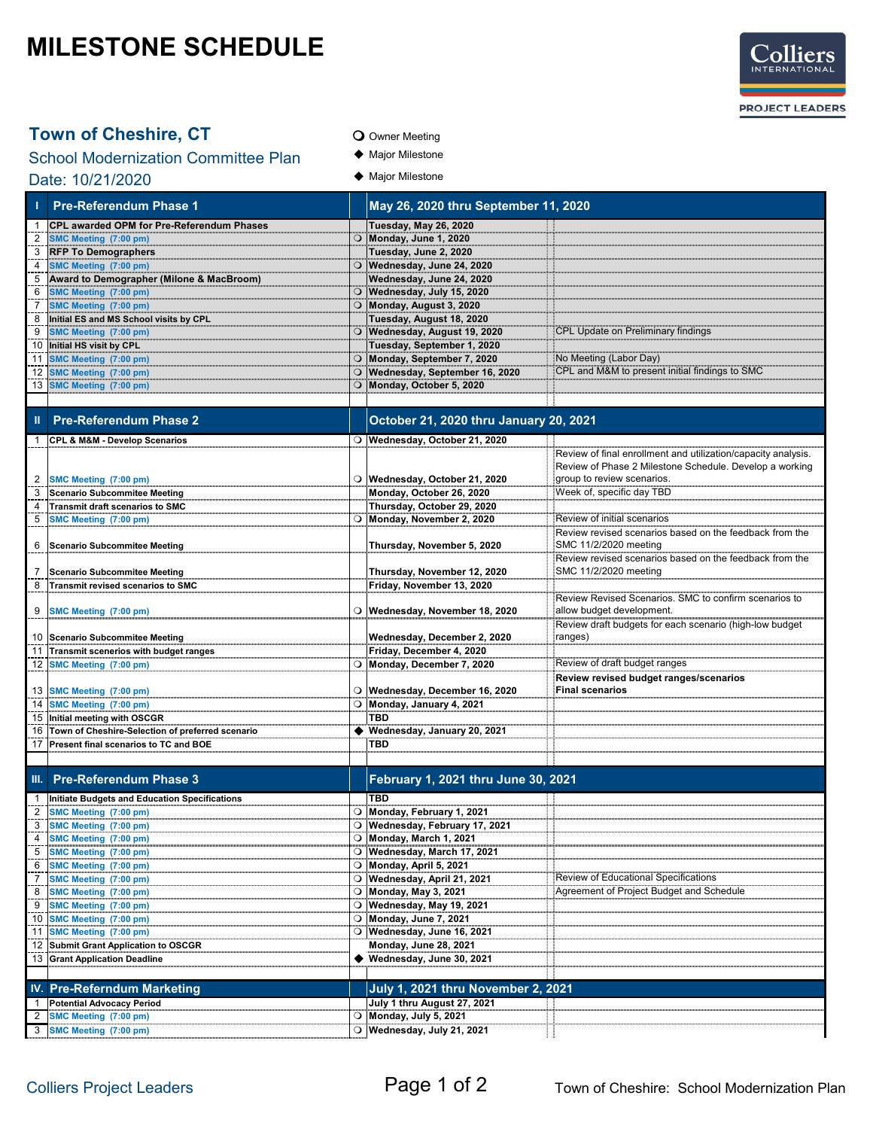## **MILESTONE SCHEDULE**



### **Town of Cheshire, CT** O Owner Meeting

School Modernization Committee Plan  $\bullet$  Major Milestone Date: 10/21/2020

- 
- 
- $\blacklozenge$  Major Milestone

|                     | <b>Pre-Referendum Phase 1</b>                                                     |         |                                                          | May 26, 2020 thru September 11, 2020                          |  |  |
|---------------------|-----------------------------------------------------------------------------------|---------|----------------------------------------------------------|---------------------------------------------------------------|--|--|
|                     | CPL awarded OPM for Pre-Referendum Phases                                         |         | <b>Tuesday, May 26, 2020</b>                             |                                                               |  |  |
| 2                   | SMC Meeting (7:00 pm)                                                             |         | O Monday, June 1, 2020                                   |                                                               |  |  |
| 3<br>$\overline{4}$ | <b>RFP To Demographers</b><br>SMC Meeting (7:00 pm)                               | O       | Tuesday, June 2, 2020<br>Wednesday, June 24, 2020        |                                                               |  |  |
| 5                   | Award to Demographer (Milone & MacBroom)                                          |         | Wednesday, June 24, 2020                                 |                                                               |  |  |
| 6                   | SMC Meeting (7:00 pm)                                                             | $\circ$ | Wednesday, July 15, 2020                                 |                                                               |  |  |
| 7                   | SMC Meeting (7:00 pm)                                                             |         | O Monday, August 3, 2020                                 |                                                               |  |  |
| 8<br>9              | Initial ES and MS School visits by CPL<br>SMC Meeting (7:00 pm)                   |         | Tuesday, August 18, 2020<br>O Wednesday, August 19, 2020 | CPL Update on Preliminary findings                            |  |  |
| 10                  | Initial HS visit by CPL                                                           |         | Tuesday, September 1, 2020                               |                                                               |  |  |
| 11                  | SMC Meeting (7:00 pm)                                                             | $\circ$ | Monday, September 7, 2020                                | No Meeting (Labor Day)                                        |  |  |
| 12                  | SMC Meeting (7:00 pm)                                                             |         | Wednesday, September 16, 2020                            | CPL and M&M to present initial findings to SMC                |  |  |
| 13                  | SMC Meeting (7:00 pm)                                                             |         | O Monday, October 5, 2020                                |                                                               |  |  |
|                     | <b>Pre-Referendum Phase 2</b>                                                     |         | October 21, 2020 thru January 20, 2021                   |                                                               |  |  |
|                     |                                                                                   |         |                                                          |                                                               |  |  |
| -1                  | <b>CPL &amp; M&amp;M - Develop Scenarios</b>                                      |         | O Wednesday, October 21, 2020                            | Review of final enrollment and utilization/capacity analysis. |  |  |
|                     |                                                                                   |         |                                                          | Review of Phase 2 Milestone Schedule. Develop a working       |  |  |
| 2                   | SMC Meeting (7:00 pm)                                                             |         | O Wednesday, October 21, 2020                            | group to review scenarios.                                    |  |  |
| 3                   | <b>Scenario Subcommitee Meeting</b>                                               |         | Monday, October 26, 2020                                 | Week of, specific day TBD                                     |  |  |
| 4<br>5              | <b>Transmit draft scenarios to SMC</b><br>SMC Meeting (7:00 pm)                   |         | Thursday, October 29, 2020<br>O Monday, November 2, 2020 | Review of initial scenarios                                   |  |  |
|                     |                                                                                   |         |                                                          | Review revised scenarios based on the feedback from the       |  |  |
| 6                   | <b>Scenario Subcommitee Meeting</b>                                               |         | Thursday, November 5, 2020                               | SMC 11/2/2020 meeting                                         |  |  |
|                     |                                                                                   |         |                                                          | Review revised scenarios based on the feedback from the       |  |  |
|                     | <b>Scenario Subcommitee Meeting</b>                                               |         | Thursday, November 12, 2020                              | SMC 11/2/2020 meeting                                         |  |  |
| 8                   | Transmit revised scenarios to SMC                                                 |         | Friday, November 13, 2020                                | Review Revised Scenarios. SMC to confirm scenarios to         |  |  |
| 9                   | SMC Meeting (7:00 pm)                                                             |         | O Wednesday, November 18, 2020                           | allow budget development.                                     |  |  |
|                     |                                                                                   |         |                                                          | Review draft budgets for each scenario (high-low budget       |  |  |
|                     | 10 Scenario Subcommitee Meeting                                                   |         | Wednesday, December 2, 2020                              | ranges)                                                       |  |  |
| 11                  | Transmit scenerios with budget ranges<br>12 SMC Meeting (7:00 pm)                 |         | Friday, December 4, 2020<br>O Monday, December 7, 2020   | Review of draft budget ranges                                 |  |  |
|                     |                                                                                   |         |                                                          | Review revised budget ranges/scenarios                        |  |  |
|                     | 13 SMC Meeting (7:00 pm)                                                          |         | O Wednesday, December 16, 2020                           | <b>Final scenarios</b>                                        |  |  |
| 14                  | SMC Meeting (7:00 pm)                                                             |         | O Monday, January 4, 2021                                |                                                               |  |  |
| 16                  | 15 Initial meeting with OSCGR<br>Town of Cheshire-Selection of preferred scenario |         | TBD<br>◆ Wednesday, January 20, 2021                     |                                                               |  |  |
| 17                  | Present final scenarios to TC and BOE                                             |         | TBD                                                      |                                                               |  |  |
|                     |                                                                                   |         |                                                          |                                                               |  |  |
| III.                | <b>Pre-Referendum Phase 3</b>                                                     |         | February 1, 2021 thru June 30, 2021                      |                                                               |  |  |
|                     | <b>Initiate Budgets and Education Specifications</b>                              |         | TBD                                                      |                                                               |  |  |
|                     | SMC Meeting (7:00 pm)                                                             |         | ○ Monday, February 1, 2021                               |                                                               |  |  |
| 3                   | SMC Meeting (7:00 pm)                                                             |         | O Wednesday, February 17, 2021                           |                                                               |  |  |
| 4<br>5              | SMC Meeting (7:00 pm)                                                             | $\circ$ | Monday, March 1, 2021<br>O Wednesday, March 17, 2021     |                                                               |  |  |
| 6                   | SMC Meeting (7:00 pm)<br>SMC Meeting (7:00 pm)                                    |         | O Monday, April 5, 2021                                  |                                                               |  |  |
| 7                   | SMC Meeting (7:00 pm)                                                             |         | O Wednesday, April 21, 2021                              | Review of Educational Specifications!                         |  |  |
| 8                   | SMC Meeting (7:00 pm)                                                             |         | O Monday, May 3, 2021                                    | Agreement of Project Budget and Schedule                      |  |  |
| 9                   | SMC Meeting (7:00 pm)                                                             |         | O Wednesday, May 19, 2021                                |                                                               |  |  |
| 10<br>11            | SMC Meeting (7:00 pm)<br>SMC Meeting (7:00 pm)                                    |         | O Monday, June 7, 2021<br>O Wednesday, June 16, 2021     |                                                               |  |  |
| 12                  | Submit Grant Application to OSCGR                                                 |         | Monday, June 28, 2021                                    |                                                               |  |  |
| 13                  | <b>Grant Application Deadline</b>                                                 |         | $\blacklozenge$ Wednesday, June 30, 2021                 |                                                               |  |  |
|                     |                                                                                   |         |                                                          |                                                               |  |  |
|                     | <b>IV. Pre-Referndum Marketing</b>                                                |         | <b>July 1, 2021 thru November 2, 2021</b>                |                                                               |  |  |
| 1                   | <b>Potential Advocacy Period</b>                                                  |         | July 1 thru August 27, 2021                              |                                                               |  |  |
| 2<br>3              | SMC Meeting (7:00 pm)<br>SMC Meeting (7:00 pm)                                    |         | O Monday, July 5, 2021<br>O Wednesday, July 21, 2021     |                                                               |  |  |
|                     |                                                                                   |         |                                                          |                                                               |  |  |